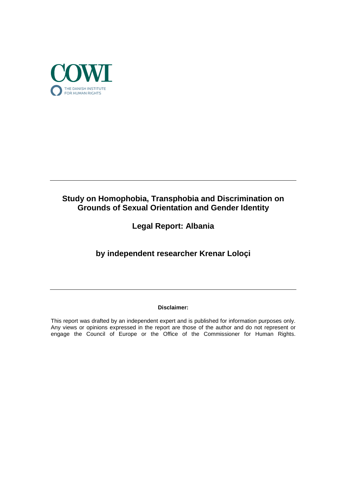

# **Study on Homophobia, Transphobia and Discrimination on Grounds of Sexual Orientation and Gender Identity**

**Legal Report: Albania**

**by independent researcher Krenar Loloçi**

## **Disclaimer:**

This report was drafted by an independent expert and is published for information purposes only. Any views or opinions expressed in the report are those of the author and do not represent or engage the Council of Europe or the Office of the Commissioner for Human Rights.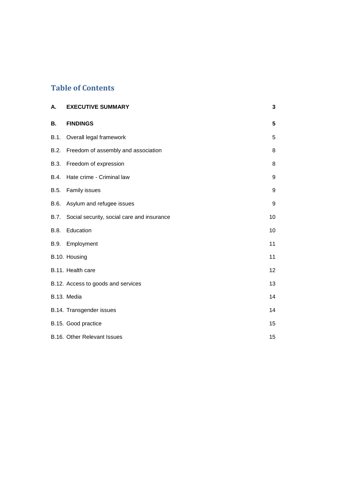# **Table of Contents**

| А.        | <b>EXECUTIVE SUMMARY</b>                   | 3  |
|-----------|--------------------------------------------|----|
| <b>B.</b> | <b>FINDINGS</b>                            | 5  |
| B.1.      | Overall legal framework                    | 5  |
| B.2.      | Freedom of assembly and association        | 8  |
| B.3.      | Freedom of expression                      | 8  |
| B.4.      | Hate crime - Criminal law                  | 9  |
| B.5.      | Family issues                              | 9  |
| B.6.      | Asylum and refugee issues                  | 9  |
| B.7.      | Social security, social care and insurance | 10 |
| B.8.      | Education                                  | 10 |
| B.9.      | Employment                                 | 11 |
|           | B.10. Housing                              | 11 |
|           | B.11. Health care                          | 12 |
|           | B.12. Access to goods and services         | 13 |
|           | B.13. Media                                | 14 |
|           | B.14. Transgender issues                   | 14 |
|           | B.15. Good practice                        | 15 |
|           | B.16. Other Relevant Issues                | 15 |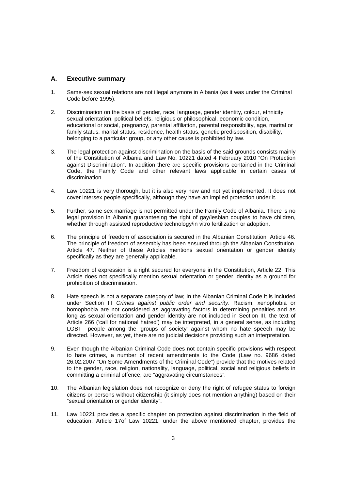## **A. Executive summary**

- 1. Same-sex sexual relations are not illegal anymore in Albania (as it was under the Criminal Code before 1995).
- 2. Discrimination on the basis of gender, race, language, gender identity, colour, ethnicity, sexual orientation, political beliefs, religious or philosophical, economic condition, educational or social, pregnancy, parental affiliation, parental responsibility, age, marital or family status, marital status, residence, health status, genetic predisposition, disability, belonging to a particular group, or any other cause is prohibited by law.
- 3. The legal protection against discrimination on the basis of the said grounds consists mainly of the Constitution of Albania and Law No. 10221 dated 4 February 2010 "On Protection against Discrimination". In addition there are specific provisions contained in the Criminal Code, the Family Code and other relevant laws applicable in certain cases of discrimination.
- 4. Law 10221 is very thorough, but it is also very new and not yet implemented. It does not cover intersex people specifically, although they have an implied protection under it.
- 5. Further, same sex marriage is not permitted under the Family Code of Albania. There is no legal provision in Albania guaranteeing the right of gay/lesbian couples to have children, whether through assisted reproductive technology/in vitro fertilization or adoption.
- 6. The principle of freedom of association is secured in the Albanian Constitution, Article 46. The principle of freedom of assembly has been ensured through the Albanian Constitution, Article 47. Neither of these Articles mentions sexual orientation or gender identity specifically as they are generally applicable.
- 7. Freedom of expression is a right secured for everyone in the Constitution, Article 22. This Article does not specifically mention sexual orientation or gender identity as a ground for prohibition of discrimination.
- 8. Hate speech is not a separate category of law; In the Albanian Criminal Code it is included under Section III Crimes against public order and security. Racism, xenophobia or homophobia are not considered as aggravating factors in determining penalties and as long as sexual orientation and gender identity are not included in Section III, the text of Article 266 ('call for national hatred') may be interpreted, in a general sense, as including LGBT people among the 'groups of society' against whom no hate speech may be directed. However, as yet, there are no judicial decisions providing such an interpretation.
- 9. Even though the Albanian Criminal Code does not contain specific provisions with respect to hate crimes, a number of recent amendments to the Code (Law no. 9686 dated 26.02.2007 "On Some Amendments of the Criminal Code") provide that the motives related to the gender, race, religion, nationality, language, political, social and religious beliefs in committing a criminal offence, are "aggravating circumstances".
- 10. The Albanian legislation does not recognize or deny the right of refugee status to foreign citizens or persons without citizenship (it simply does not mention anything) based on their "sexual orientation or gender identity".
- 11. Law 10221 provides a specific chapter on protection against discrimination in the field of education. Article 17of Law 10221, under the above mentioned chapter, provides the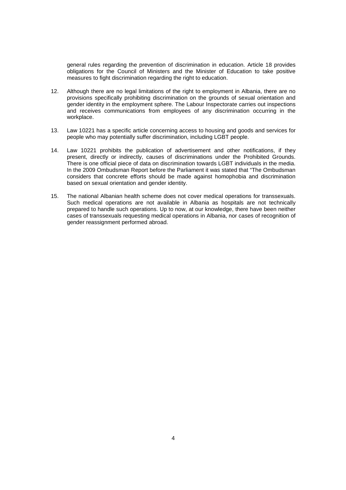general rules regarding the prevention of discrimination in education. Article 18 provides obligations for the Council of Ministers and the Minister of Education to take positive measures to fight discrimination regarding the right to education.

- 12. Although there are no legal limitations of the right to employment in Albania, there are no provisions specifically prohibiting discrimination on the grounds of sexual orientation and gender identity in the employment sphere. The Labour Inspectorate carries out inspections and receives communications from employees of any discrimination occurring in the workplace.
- 13. Law 10221 has a specific article concerning access to housing and goods and services for people who may potentially suffer discrimination, including LGBT people.
- 14. Law 10221 prohibits the publication of advertisement and other notifications, if they present, directly or indirectly, causes of discriminations under the Prohibited Grounds. There is one official piece of data on discrimination towards LGBT individuals in the media. In the 2009 Ombudsman Report before the Parliament it was stated that "The Ombudsman considers that concrete efforts should be made against homophobia and discrimination based on sexual orientation and gender identity.
- 15. The national Albanian health scheme does not cover medical operations for transsexuals. Such medical operations are not available in Albania as hospitals are not technically prepared to handle such operations. Up to now, at our knowledge, there have been neither cases of transsexuals requesting medical operations in Albania, nor cases of recognition of gender reassignment performed abroad.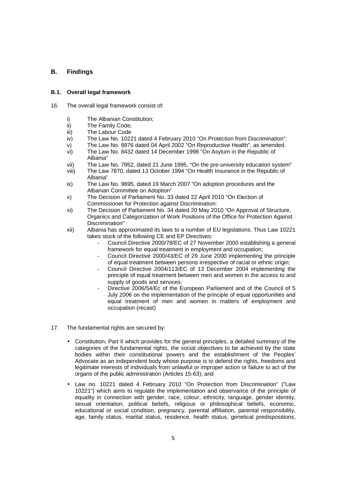## **B. Findings**

## **B.1. Overall legal framework**

- 16. The overall legal framework consist of:
	- i) The Albanian Constitution;
	- ii) The Family Code;
	- iii) The Labour Code
	- iv) The Law No. 10221 dated 4 February 2010 "On Protection from Discrimination":
	- v) The Law No. 8876 dated 04 April 2002 "On Reproductive Health", as amended.
	- vi) The Law No. 8432 dated 14 December 1998 "On Asylum in the Republic of Albania"
	- vii) The Law No. 7952, dated 21 June 1995, "On the pre-university education system"
	- viii) The Law 7870, dated 13 October 1994 "On Health Insurance in the Republic of Albania"
	- ix) The Law No. 9695, dated 19 March 2007 "On adoption procedures and the Albanian Committee on Adoption"
	- x) The Decision of Parliament No. 33 dated 22 April 2010 "On Election of Commissioner for Protection against Discrimination:
	- xi) The Decision of Parliament No. 34 dated 20 May 2010 "On Approval of Structure, Organics and Categorization of Work Positions of the Office for Protection Against Discrimination"
	- xii) Albania has approximated its laws to a number of EU legislations. Thus Law 10221 takes stock of the following CE and EP Directives:
		- Council Directive 2000/78/EC of 27 November 2000 establishing a general framework for equal treatment in employment and occupation;
		- Council Directive 2000/43/EC of 29 June 2000 implementing the principle of equal treatment between persons irrespective of racial or ethnic origin;
		- Council Directive 2004/113/EC of 13 December 2004 implementing the principle of equal treatment between men and women in the access to and supply of goods and services;
		- Directive 2006/54/Ec of the European Parliament and of the Council of 5 July 2006 on the implementation of the principle of equal opportunities and equal treatment of men and women in matters of employment and occupation (recast)
- 17. The fundamental rights are secured by:
	- Constitution, Part II which provides for the general principles, a detailed summary of the categories of the fundamental rights, the social objectives to be achieved by the state bodies within their constitutional powers and the establishment of the Peoples' Advocate as an independent body whose purpose is to defend the rights, freedoms and legitimate interests of individuals from unlawful or improper action or failure to act of the organs of the public administration (Articles 15-63); and
	- Law no. 10221 dated 4 February 2010 "On Protection from Discrimination" ("Law 10221") which aims to regulate the implementation and observance of the principle of equality in connection with gender, race, colour, ethnicity, language, gender identity, sexual orientation, political beliefs, religious or philosophical beliefs, economic, educational or social condition, pregnancy, parental affiliation, parental responsibility, age, family status, marital status, residence, health status, genetical predispositions,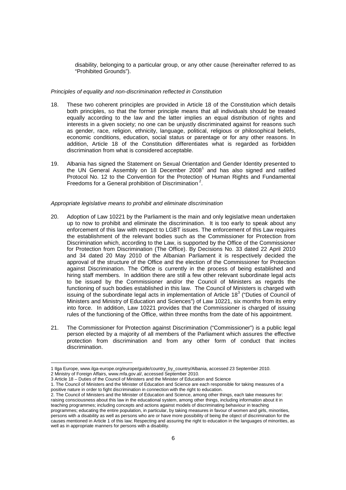disability, belonging to a particular group, or any other cause (hereinafter referred to as "Prohibited Grounds").

#### Principles of equality and non-discrimination reflected in Constitution

- 18. These two coherent principles are provided in Article 18 of the Constitution which details both principles, so that the former principle means that all individuals should be treated equally according to the law and the latter implies an equal distribution of rights and interests in a given society; no one can be unjustly discriminated against for reasons such as gender, race, religion, ethnicity, language, political, religious or philosophical beliefs, economic conditions, education, social status or parentage or for any other reasons. In addition, Article 18 of the Constitution differentiates what is regarded as forbidden discrimination from what is considered acceptable.
- 19. Albania has signed the Statement on Sexual Orientation and Gender Identity presented to the UN General Assembly on 18 December 2008<sup>1</sup> and has also signed and ratified Protocol No. 12 to the Convention for the Protection of Human Rights and Fundamental Freedoms for a General prohibition of Discrimination<sup>2</sup>.

#### Appropriate legislative means to prohibit and eliminate discrimination

- 20. Adoption of Law 10221 by the Parliament is the main and only legislative mean undertaken up to now to prohibit and eliminate the discrimination. It is too early to speak about any enforcement of this law with respect to LGBT issues. The enforcement of this Law requires the establishment of the relevant bodies such as the Commissioner for Protection from Discrimination which, according to the Law, is supported by the Office of the Commissioner for Protection from Discrimination (The Office). By Decisions No. 33 dated 22 April 2010 and 34 dated 20 May 2010 of the Albanian Parliament it is respectively decided the approval of the structure of the Office and the election of the Commissioner for Protection against Discrimination. The Office is currently in the process of being established and hiring staff members. In addition there are still a few other relevant subordinate legal acts to be issued by the Commissioner and/or the Council of Ministers as regards the functioning of such bodies established in this law. The Council of Ministers is charged with issuing of the subordinate legal acts in implementation of Article 18 $3$  ("Duties of Council of Ministers and Ministry of Education and Sciences") of Law 10221, six months from its entry into force. In addition, Law 10221 provides that the Commissioner is charged of issuing rules of the functioning of the Office, within three months from the date of his appointment.
- 21. The Commissioner for Protection against Discrimination ("Commissioner") is a public legal person elected by a majority of all members of the Parliament which assures the effective protection from discrimination and from any other form of conduct that incites discrimination.

 $\overline{a}$ 1 Ilga Europe, www.ilga-europe.org/europe/guide/country\_by\_country/Albania, accessed 23 September 2010.

<sup>2</sup> Ministry of Foreign Affairs, www.mfa.gov.al/, accessed September 2010.

<sup>3</sup> Article 18 – Duties of the Council of Ministers and the Minister of Education and Science

<sup>1.</sup> The Council of Ministers and the Minister of Education and Science are each responsible for taking measures of a positive nature in order to fight discrimination in connection with the right to education.

<sup>2.</sup> The Council of Ministers and the Minister of Education and Science, among other things, each take measures for: raising consciousness about this law in the educational system, among other things, including information about it in teaching programmes; including concepts and actions against models of discriminating behaviour in teaching programmes; educating the entire population, in particular, by taking measures in favour of women and girls, minorities, persons with a disability as well as persons who are or have more possibility of being the object of discrimination for the causes mentioned in Article 1 of this law; Respecting and assuring the right to education in the languages of minorities, as well as in appropriate manners for persons with a disability.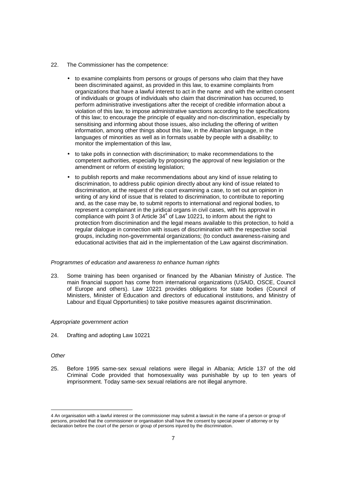- 22. The Commissioner has the competence:
	- to examine complaints from persons or groups of persons who claim that they have been discriminated against, as provided in this law, to examine complaints from organizations that have a lawful interest to act in the name and with the written consent of individuals or groups of individuals who claim that discrimination has occurred, to perform administrative investigations after the receipt of credible information about a violation of this law, to impose administrative sanctions according to the specifications of this law; to encourage the principle of equality and non-discrimination, especially by sensitising and informing about those issues, also including the offering of written information, among other things about this law, in the Albanian language, in the languages of minorities as well as in formats usable by people with a disability; to monitor the implementation of this law,
	- to take polls in connection with discrimination; to make recommendations to the competent authorities, especially by proposing the approval of new legislation or the amendment or reform of existing legislation;
	- to publish reports and make recommendations about any kind of issue relating to discrimination, to address public opinion directly about any kind of issue related to discrimination, at the request of the court examining a case, to set out an opinion in writing of any kind of issue that is related to discrimination, to contribute to reporting and, as the case may be, to submit reports to international and regional bodies, to represent a complainant in the juridical organs in civil cases, with his approval in compliance with point 3 of Article  $34<sup>4</sup>$  of Law 10221, to inform about the right to protection from discrimination and the legal means available to this protection, to hold a regular dialogue in connection with issues of discrimination with the respective social groups, including non-governmental organizations; (to conduct awareness-raising and educational activities that aid in the implementation of the Law against discrimination.

#### Programmes of education and awareness to enhance human rights

23. Some training has been organised or financed by the Albanian Ministry of Justice. The main financial support has come from international organizations (USAID, OSCE, Council of Europe and others). Law 10221 provides obligations for state bodies (Council of Ministers, Minister of Education and directors of educational institutions, and Ministry of Labour and Equal Opportunities) to take positive measures against discrimination.

#### Appropriate government action

24. Drafting and adopting Law 10221

#### **Other**

l

25. Before 1995 same-sex sexual relations were illegal in Albania; Article 137 of the old Criminal Code provided that homosexuality was punishable by up to ten years of imprisonment. Today same-sex sexual relations are not illegal anymore.

<sup>4</sup> An organisation with a lawful interest or the commissioner may submit a lawsuit in the name of a person or group of persons, provided that the commissioner or organisation shall have the consent by special power of attorney or by declaration before the court of the person or group of persons injured by the discrimination.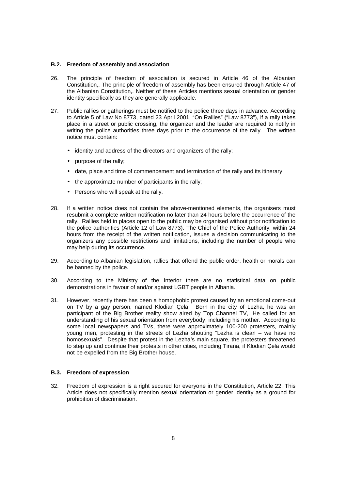#### **B.2. Freedom of assembly and association**

- 26. The principle of freedom of association is secured in Article 46 of the Albanian Constitution,. The principle of freedom of assembly has been ensured through Article 47 of the Albanian Constitution,. Neither of these Articles mentions sexual orientation or gender identity specifically as they are generally applicable.
- 27. Public rallies or gatherings must be notified to the police three days in advance. According to Article 5 of Law No 8773, dated 23 April 2001, "On Rallies" ("Law 8773"), if a rally takes place in a street or public crossing, the organizer and the leader are required to notify in writing the police authorities three days prior to the occurrence of the rally. The written notice must contain:
	- identity and address of the directors and organizers of the rally;
	- purpose of the rally;
	- date, place and time of commencement and termination of the rally and its itinerary;
	- the approximate number of participants in the rally;
	- Persons who will speak at the rally.
- 28. If a written notice does not contain the above-mentioned elements, the organisers must resubmit a complete written notification no later than 24 hours before the occurrence of the rally. Rallies held in places open to the public may be organised without prior notification to the police authorities (Article 12 of Law 8773). The Chief of the Police Authority, within 24 hours from the receipt of the written notification, issues a decision communicating to the organizers any possible restrictions and limitations, including the number of people who may help during its occurrence.
- 29. According to Albanian legislation, rallies that offend the public order, health or morals can be banned by the police.
- 30. According to the Ministry of the Interior there are no statistical data on public demonstrations in favour of and/or against LGBT people in Albania.
- 31. However, recently there has been a homophobic protest caused by an emotional come-out on TV by a gay person, named Klodian Çela. Born in the city of Lezha, he was an participant of the Big Brother reality show aired by Top Channel TV,. He called for an understanding of his sexual orientation from everybody, including his mother. According to some local newspapers and TVs, there were approximately 100-200 protesters, mainly young men, protesting in the streets of Lezha shouting "Lezha is clean – we have no homosexuals". Despite that protest in the Lezha's main square, the protesters threatened to step up and continue their protests in other cities, including Tirana, if Klodian Çela would not be expelled from the Big Brother house.

#### **B.3. Freedom of expression**

32. Freedom of expression is a right secured for everyone in the Constitution, Article 22. This Article does not specifically mention sexual orientation or gender identity as a ground for prohibition of discrimination.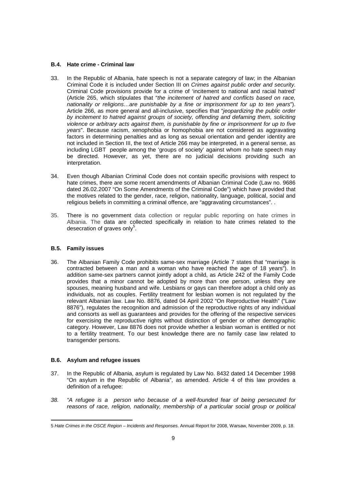### **B.4. Hate crime - Criminal law**

- 33. In the Republic of Albania, hate speech is not a separate category of law; in the Albanian Criminal Code it is included under Section III on Crimes against public order and security. Criminal Code provisions provide for a crime of 'incitement to national and racial hatred' (Article 265, which stipulates that "the incitement of hatred and conflicts based on race, nationality or religions…are punishable by a fine or imprisonment for up to ten years"). Article 266, as more general and all-inclusive, specifies that "jeopardizing the public order by incitement to hatred against groups of society, offending and defaming them, soliciting violence or arbitrary acts against them, is punishable by fine or imprisonment for up to five years". Because racism, xenophobia or homophobia are not considered as aggravating factors in determining penalties and as long as sexual orientation and gender identity are not included in Section III, the text of Article 266 may be interpreted, in a general sense, as including LGBT people among the 'groups of society' against whom no hate speech may be directed. However, as yet, there are no judicial decisions providing such an interpretation.
- 34. Even though Albanian Criminal Code does not contain specific provisions with respect to hate crimes, there are some recent amendments of Albanian Criminal Code (Law no. 9686 dated 26.02.2007 "On Some Amendments of the Criminal Code") which have provided that the motives related to the gender, race, religion, nationality, language, political, social and religious beliefs in committing a criminal offence, are "aggravating circumstances". .
- 35. There is no government data collection or regular public reporting on hate crimes in Albania. The data are collected specifically in relation to hate crimes related to the desecration of graves only<sup>5</sup>.

#### **B.5. Family issues**

36. The Albanian Family Code prohibits same-sex marriage (Article 7 states that "marriage is contracted between a man and a woman who have reached the age of 18 years"). In addition same-sex partners cannot jointly adopt a child, as Article 242 of the Family Code provides that a minor cannot be adopted by more than one person, unless they are spouses, meaning husband and wife. Lesbians or gays can therefore adopt a child only as individuals, not as couples. Fertility treatment for lesbian women is not regulated by the relevant Albanian law. Law No. 8876, dated 04 April 2002 "On Reproductive Health" ("Law 8876"), regulates the recognition and admission of the reproductive rights of any individual and consorts as well as guarantees and provides for the offering of the respective services for exercising the reproductive rights without distinction of gender or other demographic category. However, Law 8876 does not provide whether a lesbian woman is entitled or not to a fertility treatment. To our best knowledge there are no family case law related to transgender persons.

## **B.6. Asylum and refugee issues**

- 37. In the Republic of Albania, asylum is regulated by Law No. 8432 dated 14 December 1998 "On asylum in the Republic of Albania", as amended. Article 4 of this law provides a definition of a refugee:
- 38. "A refugee is a person who because of a well-founded fear of being persecuted for reasons of race, religion, nationality, membership of a particular social group or political

 5 Hate Crimes in the OSCE Region – Incidents and Responses. Annual Report for 2008, Warsaw, November 2009, p. 18.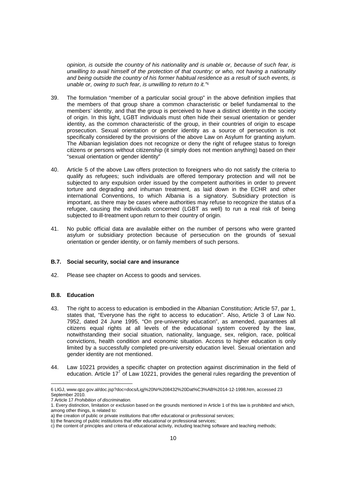opinion, is outside the country of his nationality and is unable or, because of such fear, is unwilling to avail himself of the protection of that country; or who, not having a nationality and being outside the country of his former habitual residence as a result of such events, is unable or, owing to such fear, is unwilling to return to it."*<sup>6</sup>*

- 39. The formulation "member of a particular social group" in the above definition implies that the members of that group share a common characteristic or belief fundamental to the members' identity, and that the group is perceived to have a distinct identity in the society of origin. In this light, LGBT individuals must often hide their sexual orientation or gender identity, as the common characteristic of the group, in their countries of origin to escape prosecution. Sexual orientation or gender identity as a source of persecution is not specifically considered by the provisions of the above Law on Asylum for granting asylum. The Albanian legislation does not recognize or deny the right of refugee status to foreign citizens or persons without citizenship (it simply does not mention anything) based on their "sexual orientation or gender identity"
- 40. Article 5 of the above Law offers protection to foreigners who do not satisfy the criteria to qualify as refugees; such individuals are offered temporary protection and will not be subjected to any expulsion order issued by the competent authorities in order to prevent torture and degrading and inhuman treatment, as laid down in the ECHR and other international Conventions, to which Albania is a signatory. Subsidiary protection is important, as there may be cases where authorities may refuse to recognize the status of a refugee, causing the individuals concerned (LGBT as well) to run a real risk of being subjected to ill-treatment upon return to their country of origin.
- 41. No public official data are available either on the number of persons who were granted asylum or subsidiary protection because of persecution on the grounds of sexual orientation or gender identity, or on family members of such persons.

## **B.7. Social security, social care and insurance**

42. Please see chapter on Access to goods and services.

## **B.8. Education**

- 43. The right to access to education is embodied in the Albanian Constitution; Article 57, par 1, states that, "Everyone has the right to access to education". Also, Article 3 of Law No. 7952, dated 24 June 1995, "On pre-university education", as amended, guarantees all citizens equal rights at all levels of the educational system covered by the law, notwithstanding their social situation, nationality, language, sex, religion, race, political convictions, health condition and economic situation. Access to higher education is only limited by a successfully completed pre-university education level. Sexual orientation and gender identity are not mentioned.
- 44. Law 10221 provides a specific chapter on protection against discrimination in the field of education. Article 17<sup>7</sup> of Law 10221, provides the general rules regarding the prevention of

<sup>6</sup> LIGJ, www.qpz.gov.al/doc.jsp?doc=docs/Ligj%20Nr%208432%20Dat%C3%AB%2014-12-1998.htm, accessed 23 September 2010.

<sup>7</sup> Article 17 Prohibition of discrimination.

<sup>1.</sup> Every distinction, limitation or exclusion based on the grounds mentioned in Article 1 of this law is prohibited and which, among other things, is related to:

a) the creation of public or private institutions that offer educational or professional services;

b) the financing of public institutions that offer educational or professional services;

c) the content of principles and criteria of educational activity, including teaching software and teaching methods;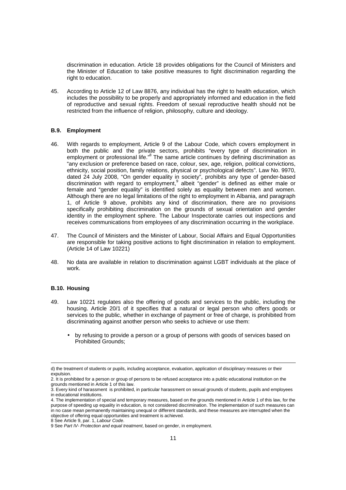discrimination in education. Article 18 provides obligations for the Council of Ministers and the Minister of Education to take positive measures to fight discrimination regarding the right to education.

45. According to Article 12 of Law 8876, any individual has the right to health education, which includes the possibility to be properly and appropriately informed and education in the field of reproductive and sexual rights. Freedom of sexual reproductive health should not be restricted from the influence of religion, philosophy, culture and ideology.

#### **B.9. Employment**

- 46. With regards to employment, Article 9 of the Labour Code, which covers employment in both the public and the private sectors, prohibits "every type of discrimination in employment or professional life."<sup>8</sup> The same article continues by defining discrimination as "any exclusion or preference based on race, colour, sex, age, religion, political convictions, ethnicity, social position, family relations, physical or psychological defects". Law No. 9970, dated 24 July 2008, "On gender equality in society", prohibits any type of gender-based discrimination with regard to employment,<sup>9</sup> albeit "gender" is defined as either male or female and "gender equality" is identified solely as equality between men and women. Although there are no legal limitations of the right to employment in Albania, and paragraph 1, of Article 9 above, prohibits any kind of discrimination, there are no provisions specifically prohibiting discrimination on the grounds of sexual orientation and gender identity in the employment sphere. The Labour Inspectorate carries out inspections and receives communications from employees of any discrimination occurring in the workplace.
- 47. The Council of Ministers and the Minister of Labour, Social Affairs and Equal Opportunities are responsible for taking positive actions to fight discrimination in relation to employment. (Article 14 of Law 10221)
- 48. No data are available in relation to discrimination against LGBT individuals at the place of work.

#### **B.10. Housing**

 $\overline{a}$ 

- 49. Law 10221 regulates also the offering of goods and services to the public, including the housing. Article 20/1 of it specifies that a natural or legal person who offers goods or services to the public, whether in exchange of payment or free of charge, is prohibited from discriminating against another person who seeks to achieve or use them:
	- by refusing to provide a person or a group of persons with goods of services based on Prohibited Grounds;

d) the treatment of students or pupils, including acceptance, evaluation, application of disciplinary measures or their expulsion.

<sup>2.</sup> It is prohibited for a person or group of persons to be refused acceptance into a public educational institution on the grounds mentioned in Article 1 of this law.

<sup>3.</sup> Every kind of harassment is prohibited, in particular harassment on sexual grounds of students, pupils and employees in educational institutions.

<sup>4.</sup> The implementation of special and temporary measures, based on the grounds mentioned in Article 1 of this law, for the purpose of speeding up equality in education, is not considered discrimination. The implementation of such measures can in no case mean permanently maintaining unequal or different standards, and these measures are interrupted when the objective of offering equal opportunities and treatment is achieved.

<sup>8</sup> See Article 9, par. 1, Labour Code.

<sup>9</sup> See Part IV- Protection and equal treatment, based on gender, in employment.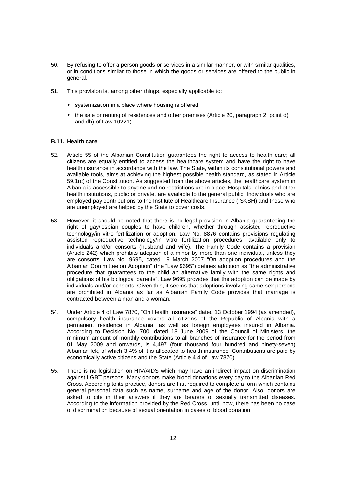- 50. By refusing to offer a person goods or services in a similar manner, or with similar qualities, or in conditions similar to those in which the goods or services are offered to the public in general.
- 51. This provision is, among other things, especially applicable to:
	- systemization in a place where housing is offered;
	- the sale or renting of residences and other premises (Article 20, paragraph 2, point d) and dh) of Law 10221).

### **B.11. Health care**

- 52. Article 55 of the Albanian Constitution guarantees the right to access to health care; all citizens are equally entitled to access the healthcare system and have the right to have health insurance in accordance with the law. The State, within its constitutional powers and available tools, aims at achieving the highest possible health standard, as stated in Article 59.1(c) of the Constitution. As suggested from the above articles, the healthcare system in Albania is accessible to anyone and no restrictions are in place. Hospitals, clinics and other health institutions, public or private, are available to the general public. Individuals who are employed pay contributions to the Institute of Healthcare Insurance (ISKSH) and those who are unemployed are helped by the State to cover costs.
- 53. However, it should be noted that there is no legal provision in Albania guaranteeing the right of gay/lesbian couples to have children, whether through assisted reproductive technology/in vitro fertilization or adoption. Law No. 8876 contains provisions regulating assisted reproductive technology/in vitro fertilization procedures, available only to individuals and/or consorts (husband and wife). The Family Code contains a provision (Article 242) which prohibits adoption of a minor by more than one individual, unless they are consorts. Law No. 9695, dated 19 March 2007 "On adoption procedures and the Albanian Committee on Adoption" (the "Law 9695") defines adoption as "the administrative procedure that guarantees to the child an alternative family with the same rights and obligations of his biological parents". Law 9695 provides that the adoption can be made by individuals and/or consorts. Given this, it seems that adoptions involving same sex persons are prohibited in Albania as far as Albanian Family Code provides that marriage is contracted between a man and a woman.
- 54. Under Article 4 of Law 7870, "On Health Insurance" dated 13 October 1994 (as amended), compulsory health insurance covers all citizens of the Republic of Albania with a permanent residence in Albania, as well as foreign employees insured in Albania. According to Decision No. 700, dated 18 June 2009 of the Council of Ministers, the minimum amount of monthly contributions to all branches of insurance for the period from 01 May 2009 and onwards, is 4,497 (four thousand four hundred and ninety-seven) Albanian lek, of which 3.4% of it is allocated to health insurance. Contributions are paid by economically active citizens and the State (Article 4.4 of Law 7870).
- 55. There is no legislation on HIV/AIDS which may have an indirect impact on discrimination against LGBT persons. Many donors make blood donations every day to the Albanian Red Cross. According to its practice, donors are first required to complete a form which contains general personal data such as name, surname and age of the donor. Also, donors are asked to cite in their answers if they are bearers of sexually transmitted diseases. According to the information provided by the Red Cross, until now, there has been no case of discrimination because of sexual orientation in cases of blood donation.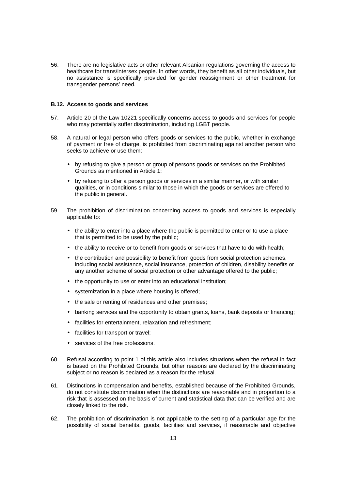56. There are no legislative acts or other relevant Albanian regulations governing the access to healthcare for trans/intersex people. In other words, they benefit as all other individuals, but no assistance is specifically provided for gender reassignment or other treatment for transgender persons' need.

#### **B.12. Access to goods and services**

- 57. Article 20 of the Law 10221 specifically concerns access to goods and services for people who may potentially suffer discrimination, including LGBT people.
- 58. A natural or legal person who offers goods or services to the public, whether in exchange of payment or free of charge, is prohibited from discriminating against another person who seeks to achieve or use them:
	- by refusing to give a person or group of persons goods or services on the Prohibited Grounds as mentioned in Article 1:
	- by refusing to offer a person goods or services in a similar manner, or with similar qualities, or in conditions similar to those in which the goods or services are offered to the public in general.
- 59. The prohibition of discrimination concerning access to goods and services is especially applicable to:
	- the ability to enter into a place where the public is permitted to enter or to use a place that is permitted to be used by the public;
	- the ability to receive or to benefit from goods or services that have to do with health;
	- the contribution and possibility to benefit from goods from social protection schemes, including social assistance, social insurance, protection of children, disability benefits or any another scheme of social protection or other advantage offered to the public;
	- the opportunity to use or enter into an educational institution;
	- systemization in a place where housing is offered;
	- the sale or renting of residences and other premises;
	- banking services and the opportunity to obtain grants, loans, bank deposits or financing;
	- facilities for entertainment, relaxation and refreshment;
	- facilities for transport or travel;
	- services of the free professions.
- 60. Refusal according to point 1 of this article also includes situations when the refusal in fact is based on the Prohibited Grounds, but other reasons are declared by the discriminating subject or no reason is declared as a reason for the refusal.
- 61. Distinctions in compensation and benefits, established because of the Prohibited Grounds, do not constitute discrimination when the distinctions are reasonable and in proportion to a risk that is assessed on the basis of current and statistical data that can be verified and are closely linked to the risk.
- 62. The prohibition of discrimination is not applicable to the setting of a particular age for the possibility of social benefits, goods, facilities and services, if reasonable and objective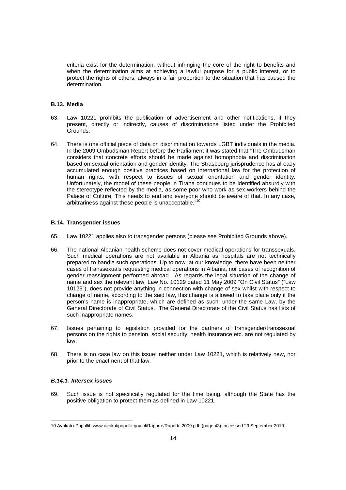criteria exist for the determination, without infringing the core of the right to benefits and when the determination aims at achieving a lawful purpose for a public interest, or to protect the rights of others, always in a fair proportion to the situation that has caused the determination.

### **B.13. Media**

- 63. Law 10221 prohibits the publication of advertisement and other notifications, if they present, directly or indirectly, causes of discriminations listed under the Prohibited Grounds.
- 64. There is one official piece of data on discrimination towards LGBT individuals in the media. In the 2009 Ombudsman Report before the Parliament it was stated that "The Ombudsman considers that concrete efforts should be made against homophobia and discrimination based on sexual orientation and gender identity. The Strasbourg jurisprudence has already accumulated enough positive practices based on international law for the protection of human rights, with respect to issues of sexual orientation and gender identity. Unfortunately, the model of these people in Tirana continues to be identified absurdly with the stereotype reflected by the media, as some poor who work as sex workers behind the Palace of Culture. This needs to end and everyone should be aware of that. In any case, arbitrariness against these people is unacceptable."<sup>10</sup>

#### **B.14. Transgender issues**

- 65. Law 10221 applies also to transgender persons (please see Prohibited Grounds above).
- 66. The national Albanian health scheme does not cover medical operations for transsexuals. Such medical operations are not available in Albania as hospitals are not technically prepared to handle such operations. Up to now, at our knowledge, there have been neither cases of transsexuals requesting medical operations in Albania, nor cases of recognition of gender reassignment performed abroad. As regards the legal situation of the change of name and sex the relevant law, Law No. 10129 dated 11 May 2009 "On Civil Status" ("Law 10129"), does not provide anything in connection with change of sex whilst with respect to change of name, according to the said law, this change is allowed to take place only if the person's name is inappropriate, which are defined as such, under the same Law, by the General Directorate of Civil Status. The General Directorate of the Civil Status has lists of such inappropriate names.
- 67. Issues pertaining to legislation provided for the partners of transgender/transsexual persons on the rights to pension, social security, health insurance etc. are not regulated by law.
- 68. There is no case law on this issue; neither under Law 10221, which is relatively new, nor prior to the enactment of that law.

### **B.14.1. Intersex issues**

69. Such issue is not specifically regulated for the time being, although the State has the positive obligation to protect them as defined in Law 10221.

<sup>10</sup> Avokati i Popullit, www.avokatipopullit.gov.al/Raporte/Raporti\_2009.pdf, (page 43), accessed 23 September 2010.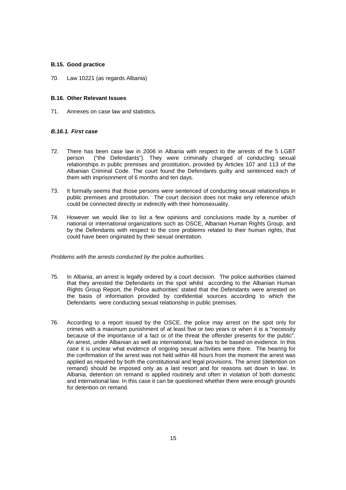## **B.15. Good practice**

70. Law 10221 (as regards Albania)

#### **B.16. Other Relevant Issues**

71. Annexes on case law and statistics.

## **B.16.1. First case**

- 72. There has been case law in 2006 in Albania with respect to the arrests of the 5 LGBT person ("the Defendants"). They were criminally charged of conducting sexual relationships in public premises and prostitution, provided by Articles 107 and 113 of the Albanian Criminal Code. The court found the Defendants guilty and sentenced each of them with imprisonment of 6 months and ten days.
- 73. It formally seems that those persons were sentenced of conducting sexual relationships in public premises and prostitution. The court decision does not make any reference which could be connected directly or indirectly with their homosexuality.
- 74. However we would like to list a few opinions and conclusions made by a number of national or international organizations such as OSCE, Albanian Human Rights Group, and by the Defendants with respect to the core problems related to their human rights, that could have been originated by their sexual orientation.

Problems with the arrests conducted by the police authorities.

- 75. In Albania, an arrest is legally ordered by a court decision. The police authorities claimed that they arrested the Defendants on the spot whilst according to the Albanian Human Rights Group Report, the Police authorities' stated that the Defendants were arrested on the basis of information provided by confidential sources according to which the Defendants were conducting sexual relationship in public premises.
- 76. According to a report issued by the OSCE, the police may arrest on the spot only for crimes with a maximum punishment of at least five or two years or when it is a "necessity because of the importance of a fact or of the threat the offender presents for the public". An arrest, under Albanian as well as international, law has to be based on evidence. In this case it is unclear what evidence of ongoing sexual activities were there. The hearing for the confirmation of the arrest was not held within 48 hours from the moment the arrest was applied as required by both the constitutional and legal provisions. The arrest (detention on remand) should be imposed only as a last resort and for reasons set down in law. In Albania, detention on remand is applied routinely and often in violation of both domestic and international law. In this case it can be questioned whether there were enough grounds for detention on remand.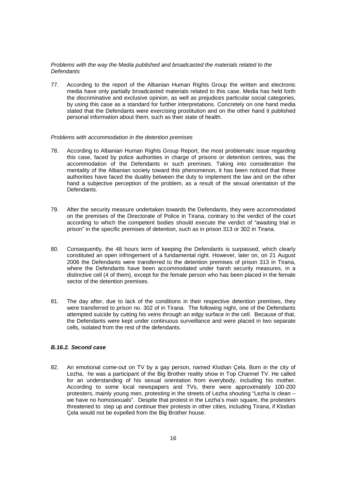### Problems with the way the Media published and broadcasted the materials related to the **Defendants**

77. According to the report of the Albanian Human Rights Group the written and electronic media have only partially broadcasted materials related to this case. Media has held forth the discriminative and exclusive opinion, as well as prejudices particular social categories, by using this case as a standard for further interpretations. Concretely on one hand media stated that the Defendants were exercising prostitution and on the other hand it published personal information about them, such as their state of health.

#### Problems with accommodation in the detention premises

- 78. According to Albanian Human Rights Group Report, the most problematic issue regarding this case, faced by police authorities in charge of prisons or detention centres, was the accommodation of the Defendants in such premises. Taking into consideration the mentality of the Albanian society toward this phenomenon, it has been noticed that these authorities have faced the duality between the duty to implement the law and on the other hand a subjective perception of the problem, as a result of the sexual orientation of the Defendants.
- 79. After the security measure undertaken towards the Defendants, they were accommodated on the premises of the Directorate of Police in Tirana, contrary to the verdict of the court according to which the competent bodies should execute the verdict of "awaiting trial in prison" in the specific premises of detention, such as in prison 313 or 302 in Tirana.
- 80. Consequently, the 48 hours term of keeping the Defendants is surpassed, which clearly constituted an open infringement of a fundamental right. However, later on, on 21 August 2006 the Defendants were transferred to the detention premises of prison 313 in Tirana, where the Defendants have been accommodated under harsh security measures, in a distinctive cell (4 of them), except for the female person who has been placed in the female sector of the detention premises.
- 81. The day after, due to lack of the conditions in their respective detention premises, they were transferred to prison no. 302 of in Tirana. The following night, one of the Defendants attempted suicide by cutting his veins through an edgy surface in the cell. Because of that, the Defendants were kept under continuous surveillance and were placed in two separate cells, isolated from the rest of the defendants.

## **B.16.2. Second case**

82. An emotional come-out on TV by a gay person, named Klodian Çela. Born in the city of Lezha, he was a participant of the Big Brother reality show in Top Channel TV. He called for an understanding of his sexual orientation from everybody, including his mother. According to some local newspapers and TVs, there were approximately 100-200 protesters, mainly young men, protesting in the streets of Lezha shouting "Lezha is clean – we have no homosexuals". Despite that protest in the Lezha's main square, the protesters threatened to step up and continue their protests in other cities, including Tirana, if Klodian Çela would not be expelled from the Big Brother house.